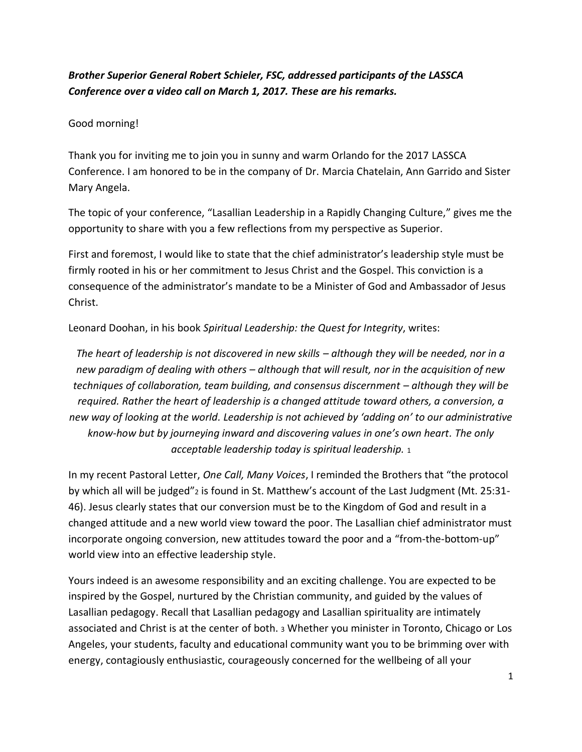## *Brother Superior General Robert Schieler, FSC, addressed participants of the LASSCA Conference over a video call on March 1, 2017. These are his remarks.*

Good morning!

Thank you for inviting me to join you in sunny and warm Orlando for the 2017 LASSCA Conference. I am honored to be in the company of Dr. Marcia Chatelain, Ann Garrido and Sister Mary Angela.

The topic of your conference, "Lasallian Leadership in a Rapidly Changing Culture," gives me the opportunity to share with you a few reflections from my perspective as Superior.

First and foremost, I would like to state that the chief administrator's leadership style must be firmly rooted in his or her commitment to Jesus Christ and the Gospel. This conviction is a consequence of the administrator's mandate to be a Minister of God and Ambassador of Jesus Christ.

Leonard Doohan, in his book *Spiritual Leadership: the Quest for Integrity*, writes:

*The heart of leadership is not discovered in new skills – although they will be needed, nor in a new paradigm of dealing with others – although that will result, nor in the acquisition of new techniques of collaboration, team building, and consensus discernment – although they will be required. Rather the heart of leadership is a changed attitude toward others, a conversion, a new way of looking at the world. Leadership is not achieved by 'adding on' to our administrative know-how but by journeying inward and discovering values in one's own heart. The only acceptable leadership today is spiritual leadership.* <sup>1</sup>

In my recent Pastoral Letter, *One Call, Many Voices*, I reminded the Brothers that "the protocol by which all will be judged"<sub>2</sub> is found in St. Matthew's account of the Last Judgment (Mt. 25:31-46). Jesus clearly states that our conversion must be to the Kingdom of God and result in a changed attitude and a new world view toward the poor. The Lasallian chief administrator must incorporate ongoing conversion, new attitudes toward the poor and a "from-the-bottom-up" world view into an effective leadership style.

Yours indeed is an awesome responsibility and an exciting challenge. You are expected to be inspired by the Gospel, nurtured by the Christian community, and guided by the values of Lasallian pedagogy. Recall that Lasallian pedagogy and Lasallian spirituality are intimately associated and Christ is at the center of both. <sup>3</sup> Whether you minister in Toronto, Chicago or Los Angeles, your students, faculty and educational community want you to be brimming over with energy, contagiously enthusiastic, courageously concerned for the wellbeing of all your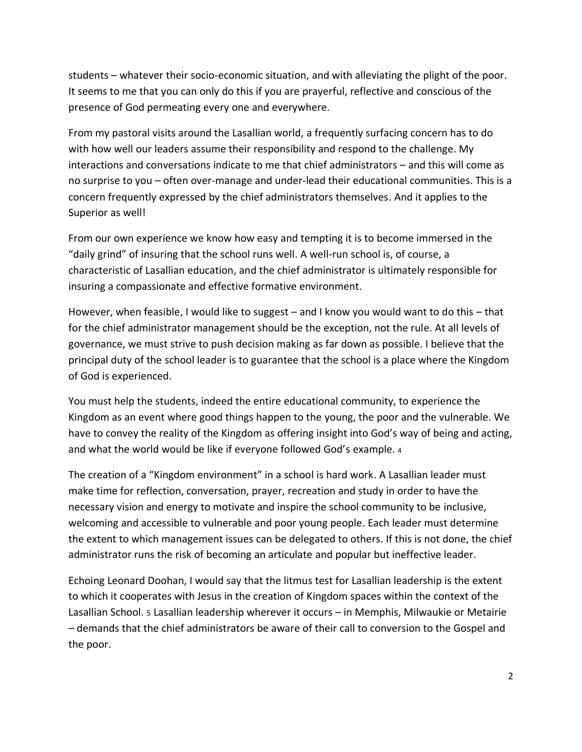students – whatever their socio-economic situation, and with alleviating the plight of the poor. It seems to me that you can only do this if you are prayerful, reflective and conscious of the presence of God permeating every one and everywhere.

From my pastoral visits around the Lasallian world, a frequently surfacing concern has to do with how well our leaders assume their responsibility and respond to the challenge. My interactions and conversations indicate to me that chief administrators – and this will come as no surprise to you – often over-manage and under-lead their educational communities. This is a concern frequently expressed by the chief administrators themselves. And it applies to the Superior as well!

From our own experience we know how easy and tempting it is to become immersed in the "daily grind" of insuring that the school runs well. A well-run school is, of course, a characteristic of Lasallian education, and the chief administrator is ultimately responsible for insuring a compassionate and effective formative environment.

However, when feasible, I would like to suggest – and I know you would want to do this – that for the chief administrator management should be the exception, not the rule. At all levels of governance, we must strive to push decision making as far down as possible. I believe that the principal duty of the school leader is to guarantee that the school is a place where the Kingdom of God is experienced.

You must help the students, indeed the entire educational community, to experience the Kingdom as an event where good things happen to the young, the poor and the vulnerable. We have to convey the reality of the Kingdom as offering insight into God's way of being and acting, and what the world would be like if everyone followed God's example. <sup>4</sup>

The creation of a "Kingdom environment" in a school is hard work. A Lasallian leader must make time for reflection, conversation, prayer, recreation and study in order to have the necessary vision and energy to motivate and inspire the school community to be inclusive, welcoming and accessible to vulnerable and poor young people. Each leader must determine the extent to which management issues can be delegated to others. If this is not done, the chief administrator runs the risk of becoming an articulate and popular but ineffective leader.

Echoing Leonard Doohan, I would say that the litmus test for Lasallian leadership is the extent to which it cooperates with Jesus in the creation of Kingdom spaces within the context of the Lasallian School. 5 Lasallian leadership wherever it occurs – in Memphis, Milwaukie or Metairie – demands that the chief administrators be aware of their call to conversion to the Gospel and the poor.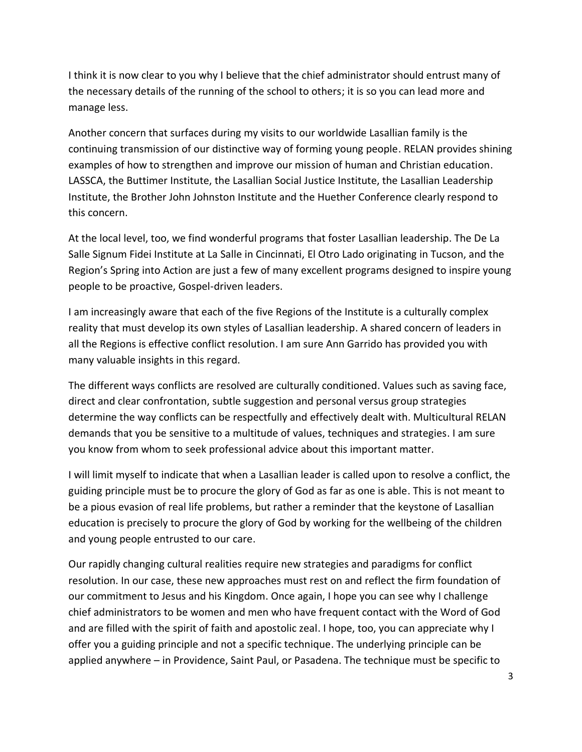I think it is now clear to you why I believe that the chief administrator should entrust many of the necessary details of the running of the school to others; it is so you can lead more and manage less.

Another concern that surfaces during my visits to our worldwide Lasallian family is the continuing transmission of our distinctive way of forming young people. RELAN provides shining examples of how to strengthen and improve our mission of human and Christian education. LASSCA, the Buttimer Institute, the Lasallian Social Justice Institute, the Lasallian Leadership Institute, the Brother John Johnston Institute and the Huether Conference clearly respond to this concern.

At the local level, too, we find wonderful programs that foster Lasallian leadership. The De La Salle Signum Fidei Institute at La Salle in Cincinnati, El Otro Lado originating in Tucson, and the Region's Spring into Action are just a few of many excellent programs designed to inspire young people to be proactive, Gospel-driven leaders.

I am increasingly aware that each of the five Regions of the Institute is a culturally complex reality that must develop its own styles of Lasallian leadership. A shared concern of leaders in all the Regions is effective conflict resolution. I am sure Ann Garrido has provided you with many valuable insights in this regard.

The different ways conflicts are resolved are culturally conditioned. Values such as saving face, direct and clear confrontation, subtle suggestion and personal versus group strategies determine the way conflicts can be respectfully and effectively dealt with. Multicultural RELAN demands that you be sensitive to a multitude of values, techniques and strategies. I am sure you know from whom to seek professional advice about this important matter.

I will limit myself to indicate that when a Lasallian leader is called upon to resolve a conflict, the guiding principle must be to procure the glory of God as far as one is able. This is not meant to be a pious evasion of real life problems, but rather a reminder that the keystone of Lasallian education is precisely to procure the glory of God by working for the wellbeing of the children and young people entrusted to our care.

Our rapidly changing cultural realities require new strategies and paradigms for conflict resolution. In our case, these new approaches must rest on and reflect the firm foundation of our commitment to Jesus and his Kingdom. Once again, I hope you can see why I challenge chief administrators to be women and men who have frequent contact with the Word of God and are filled with the spirit of faith and apostolic zeal. I hope, too, you can appreciate why I offer you a guiding principle and not a specific technique. The underlying principle can be applied anywhere – in Providence, Saint Paul, or Pasadena. The technique must be specific to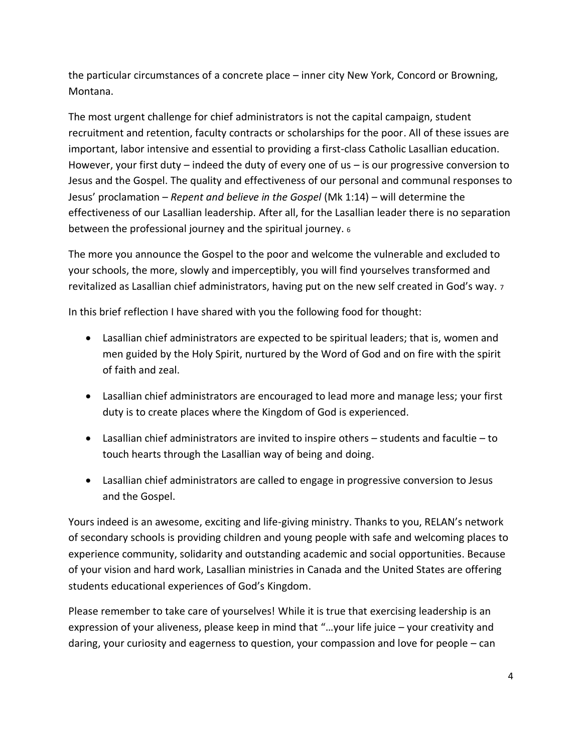the particular circumstances of a concrete place – inner city New York, Concord or Browning, Montana.

The most urgent challenge for chief administrators is not the capital campaign, student recruitment and retention, faculty contracts or scholarships for the poor. All of these issues are important, labor intensive and essential to providing a first-class Catholic Lasallian education. However, your first duty  $-$  indeed the duty of every one of us  $-$  is our progressive conversion to Jesus and the Gospel. The quality and effectiveness of our personal and communal responses to Jesus' proclamation – *Repent and believe in the Gospel* (Mk 1:14) – will determine the effectiveness of our Lasallian leadership. After all, for the Lasallian leader there is no separation between the professional journey and the spiritual journey. <sup>6</sup>

The more you announce the Gospel to the poor and welcome the vulnerable and excluded to your schools, the more, slowly and imperceptibly, you will find yourselves transformed and revitalized as Lasallian chief administrators, having put on the new self created in God's way. <sup>7</sup>

In this brief reflection I have shared with you the following food for thought:

- Lasallian chief administrators are expected to be spiritual leaders; that is, women and men guided by the Holy Spirit, nurtured by the Word of God and on fire with the spirit of faith and zeal.
- Lasallian chief administrators are encouraged to lead more and manage less; your first duty is to create places where the Kingdom of God is experienced.
- Lasallian chief administrators are invited to inspire others students and facultie to touch hearts through the Lasallian way of being and doing.
- Lasallian chief administrators are called to engage in progressive conversion to Jesus and the Gospel.

Yours indeed is an awesome, exciting and life-giving ministry. Thanks to you, RELAN's network of secondary schools is providing children and young people with safe and welcoming places to experience community, solidarity and outstanding academic and social opportunities. Because of your vision and hard work, Lasallian ministries in Canada and the United States are offering students educational experiences of God's Kingdom.

Please remember to take care of yourselves! While it is true that exercising leadership is an expression of your aliveness, please keep in mind that "…your life juice – your creativity and daring, your curiosity and eagerness to question, your compassion and love for people – can